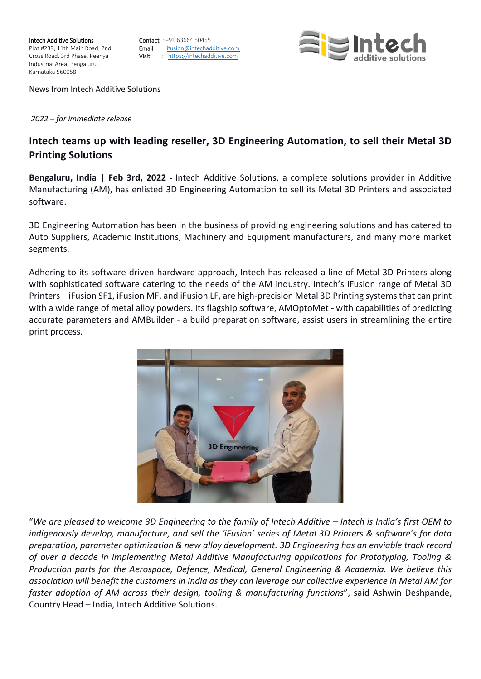**Intech Additive Solutions**<br>
Plot #239 11th Main Road 2nd<br> **Email** : ifusion@intechac Industrial Area, Bengaluru, Karnataka 560058

Plot #239, 11th Main Road, 2nd **Email** : ifusion@intechadditive.com<br>Cross Road, 3rd Phase, Peenya **Visit** : https://intechadditive.com Visit : [https://intechadditive.com](https://intechadditive.com/)



News from Intech Additive Solutions

*2022 – for immediate release*

## **Intech teams up with leading reseller, 3D Engineering Automation, to sell their Metal 3D Printing Solutions**

**Bengaluru, India | Feb 3rd, 2022 -** Intech Additive Solutions, a complete solutions provider in Additive Manufacturing (AM), has enlisted 3D Engineering Automation to sell its Metal 3D Printers and associated software.

3D Engineering Automation has been in the business of providing engineering solutions and has catered to Auto Suppliers, Academic Institutions, Machinery and Equipment manufacturers, and many more market segments.

Adhering to its software-driven-hardware approach, Intech has released a line of Metal 3D Printers along with sophisticated software catering to the needs of the AM industry. Intech's iFusion range of Metal 3D Printers – iFusion SF1, iFusion MF, and iFusion LF, are high-precision Metal 3D Printing systems that can print with a wide range of metal alloy powders. Its flagship software, AMOptoMet - with capabilities of predicting accurate parameters and AMBuilder - a build preparation software, assist users in streamlining the entire print process.



"We are pleased to welcome 3D Engineering to the family of Intech Additive – Intech is India's first OEM to *indigenously develop, manufacture, and sell the 'iFusion' series of Metal 3D Printers & software's for data preparation, parameter optimization & new alloy development. 3D Engineering has an enviable track record of over a decade in implementing Metal Additive Manufacturing applications for Prototyping, Tooling & Production parts for the Aerospace, Defence, Medical, General Engineering & Academia. We believe this association will benefit the customers in India as they can leverage our collective experience in Metal AM for faster adoption of AM across their design, tooling & manufacturing functions*", said Ashwin Deshpande, Country Head – India, Intech Additive Solutions.